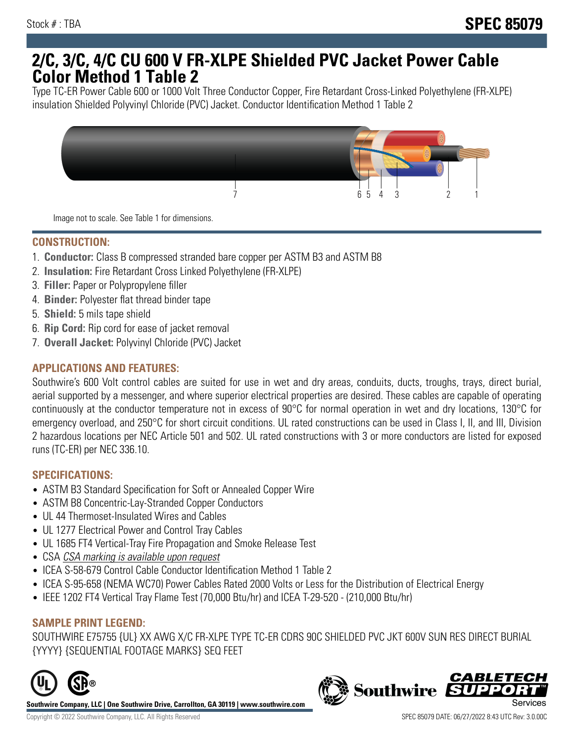# **2/C, 3/C, 4/C CU 600 V FR-XLPE Shielded PVC Jacket Power Cable Color Method 1 Table 2**

Type TC-ER Power Cable 600 or 1000 Volt Three Conductor Copper, Fire Retardant Cross-Linked Polyethylene (FR-XLPE) insulation Shielded Polyvinyl Chloride (PVC) Jacket. Conductor Identification Method 1 Table 2



Image not to scale. See Table 1 for dimensions.

## **CONSTRUCTION:**

- 1. **Conductor:** Class B compressed stranded bare copper per ASTM B3 and ASTM B8
- 2. **Insulation:** Fire Retardant Cross Linked Polyethylene (FR-XLPE)
- 3. **Filler:** Paper or Polypropylene filler
- 4. **Binder:** Polyester flat thread binder tape
- 5. **Shield:** 5 mils tape shield
- 6. **Rip Cord:** Rip cord for ease of jacket removal
- 7. **Overall Jacket:** Polyvinyl Chloride (PVC) Jacket

### **APPLICATIONS AND FEATURES:**

Southwire's 600 Volt control cables are suited for use in wet and dry areas, conduits, ducts, troughs, trays, direct burial, aerial supported by a messenger, and where superior electrical properties are desired. These cables are capable of operating continuously at the conductor temperature not in excess of 90°C for normal operation in wet and dry locations, 130°C for emergency overload, and 250°C for short circuit conditions. UL rated constructions can be used in Class I, II, and III, Division 2 hazardous locations per NEC Article 501 and 502. UL rated constructions with 3 or more conductors are listed for exposed runs (TC-ER) per NEC 336.10.

#### **SPECIFICATIONS:**

- ASTM B3 Standard Specification for Soft or Annealed Copper Wire
- ASTM B8 Concentric-Lay-Stranded Copper Conductors
- UL 44 Thermoset-Insulated Wires and Cables
- UL 1277 Electrical Power and Control Tray Cables
- UL 1685 FT4 Vertical-Tray Fire Propagation and Smoke Release Test
- CSA CSA marking is available upon request
- ICEA S-58-679 Control Cable Conductor Identification Method 1 Table 2
- ICEA S-95-658 (NEMA WC70) Power Cables Rated 2000 Volts or Less for the Distribution of Electrical Energy
- IEEE 1202 FT4 Vertical Tray Flame Test (70,000 Btu/hr) and ICEA T-29-520 (210,000 Btu/hr)

#### **SAMPLE PRINT LEGEND:**

SOUTHWIRE E75755 {UL} XX AWG X/C FR-XLPE TYPE TC-ER CDRS 90C SHIELDED PVC JKT 600V SUN RES DIRECT BURIAL {YYYY} {SEQUENTIAL FOOTAGE MARKS} SEQ FEET



**Southwire Company, LLC | One Southwire Drive, Carrollton, GA 30119 | www.southwire.com**